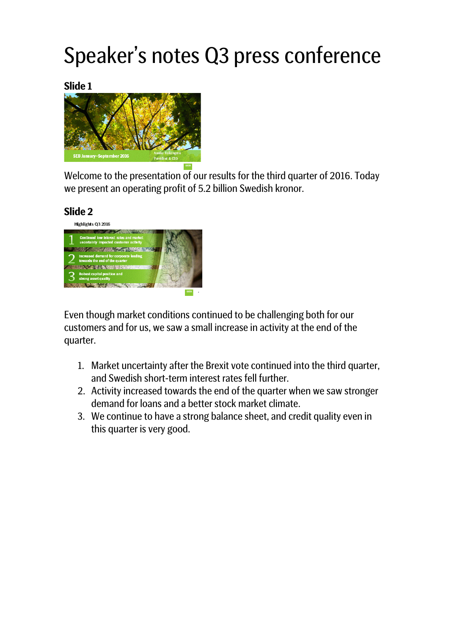# Speaker's notes Q3 press conference

**Slide 1**



Welcome to the presentation of our results for the third quarter of 2016. Today we present an operating profit of 5.2 billion Swedish kronor.

#### **Slide 2**



Even though market conditions continued to be challenging both for our customers and for us, we saw a small increase in activity at the end of the quarter.

- 1. Market uncertainty after the Brexit vote continued into the third quarter, and Swedish short-term interest rates fell further.
- 2. Activity increased towards the end of the quarter when we saw stronger demand for loans and a better stock market climate.
- 3. We continue to have a strong balance sheet, and credit quality even in this quarter is very good.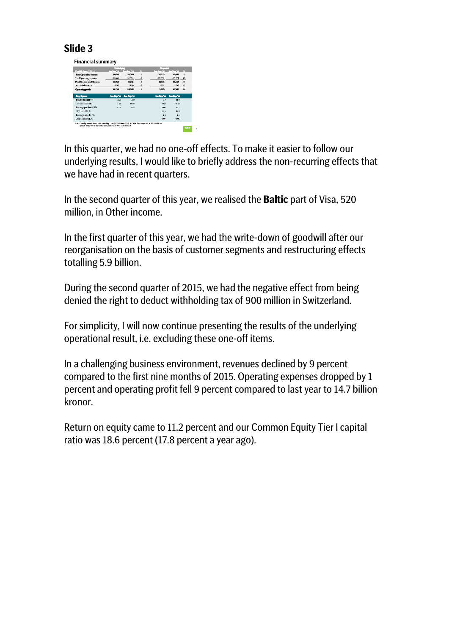#### **Slide 3**

Financial summary .<br>The Said of the Said of SK-OSM in 2015, SF Rife.<br>Note of the National State of SK-SChu in 2016.

In this quarter, we had no one-off effects. To make it easier to follow our underlying results, I would like to briefly address the non-recurring effects that we have had in recent quarters.

In the second quarter of this year, we realised the **Baltic** part of Visa, 520 million, in Other income.

In the first quarter of this year, we had the write-down of goodwill after our reorganisation on the basis of customer segments and restructuring effects totalling 5.9 billion.

During the second quarter of 2015, we had the negative effect from being denied the right to deduct withholding tax of 900 million in Switzerland.

For simplicity, I will now continue presenting the results of the underlying operational result, i.e. excluding these one-off items.

In a challenging business environment, revenues declined by 9 percent compared to the first nine months of 2015. Operating expenses dropped by 1 percent and operating profit fell 9 percent compared to last year to 14.7 billion kronor.

Return on equity came to 11.2 percent and our Common Equity Tier I capital ratio was 18.6 percent (17.8 percent a year ago)*.*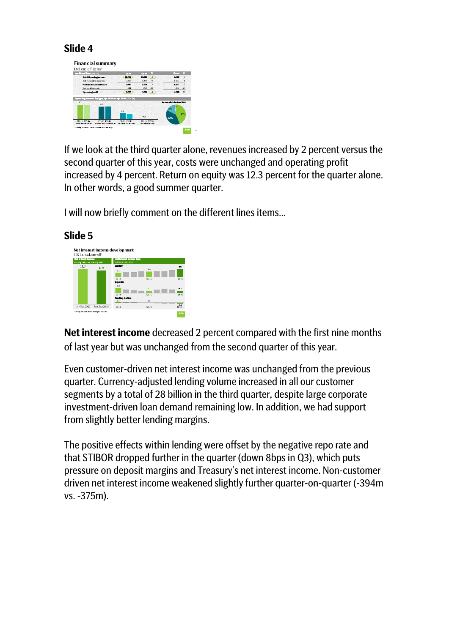### **Slide 4**



If we look at the third quarter alone, revenues increased by 2 percent versus the second quarter of this year, costs were unchanged and operating profit increased by 4 percent. Return on equity was 12.3 percent for the quarter alone. In other words, a good summer quarter.

I will now briefly comment on the different lines items...



**Net interest income** decreased 2 percent compared with the first nine months of last year but was unchanged from the second quarter of this year.

Even customer-driven net interest income was unchanged from the previous quarter. Currency-adjusted lending volume increased in all our customer segments by a total of 28 billion in the third quarter, despite large corporate investment-driven loan demand remaining low. In addition, we had support from slightly better lending margins.

The positive effects within lending were offset by the negative repo rate and that STIBOR dropped further in the quarter (down 8bps in Q3), which puts pressure on deposit margins and Treasury's net interest income. Non-customer driven net interest income weakened slightly further quarter-on-quarter (-394m vs. -375m).

#### **Slide 5**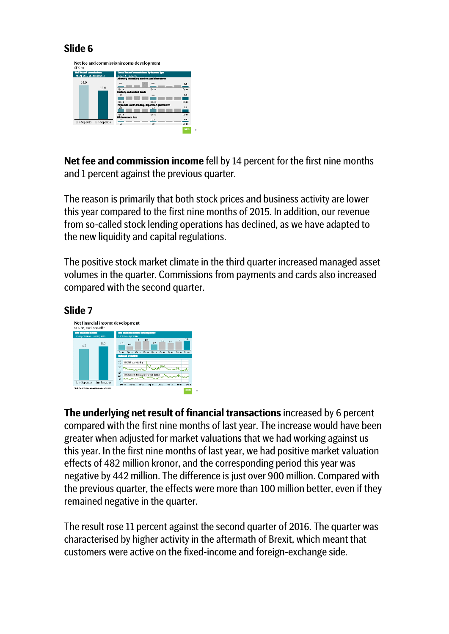### **Slide 6**



**Net fee and commission income** fell by 14 percent for the first nine months and 1 percent against the previous quarter.

The reason is primarily that both stock prices and business activity are lower this year compared to the first nine months of 2015. In addition, our revenue from so-called stock lending operations has declined, as we have adapted to the new liquidity and capital regulations.

The positive stock market climate in the third quarter increased managed asset volumes in the quarter. Commissions from payments and cards also increased compared with the second quarter.

## **Slide 7**



**The underlying net result of financial transactions** increased by 6 percent compared with the first nine months of last year. The increase would have been greater when adjusted for market valuations that we had working against us this year. In the first nine months of last year, we had positive market valuation effects of 482 million kronor, and the corresponding period this year was negative by 442 million. The difference is just over 900 million. Compared with the previous quarter, the effects were more than 100 million better, even if they remained negative in the quarter.

The result rose 11 percent against the second quarter of 2016. The quarter was characterised by higher activity in the aftermath of Brexit, which meant that customers were active on the fixed-income and foreign-exchange side.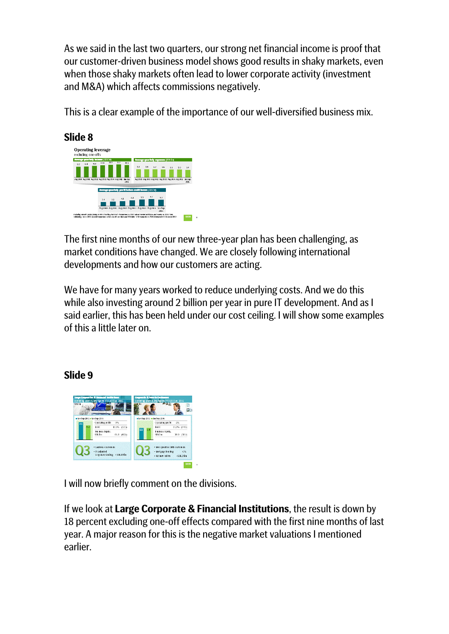As we said in the last two quarters, our strong net financial income is proof that our customer-driven business model shows good results in shaky markets, even when those shaky markets often lead to lower corporate activity (investment and M&A) which affects commissions negatively.

This is a clear example of the importance of our well-diversified business mix.



The first nine months of our new three-year plan has been challenging, as market conditions have changed. We are closely following international developments and how our customers are acting.

We have for many years worked to reduce underlying costs. And we do this while also investing around 2 billion per year in pure IT development. And as I said earlier, this has been held under our cost ceiling. I will show some examples of this a little later on.

## **Slide 9**



I will now briefly comment on the divisions.

If we look at **Large Corporate & Financial Institutions**, the result is down by 18 percent excluding one-off effects compared with the first nine months of last year. A major reason for this is the negative market valuations I mentioned earlier.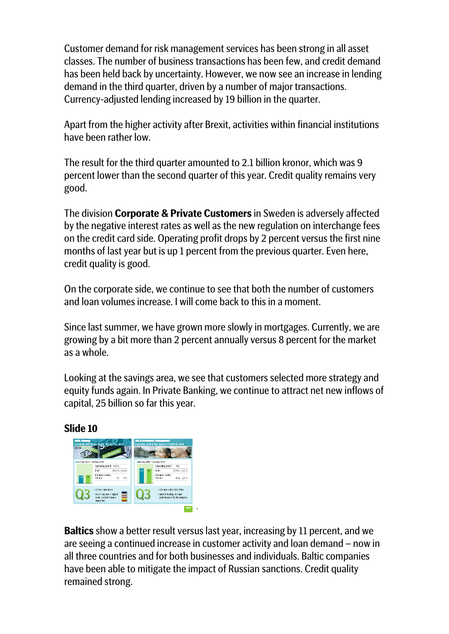Customer demand for risk management services has been strong in all asset classes. The number of business transactions has been few, and credit demand has been held back by uncertainty. However, we now see an increase in lending demand in the third quarter, driven by a number of major transactions. Currency-adjusted lending increased by 19 billion in the quarter.

Apart from the higher activity after Brexit, activities within financial institutions have been rather low.

The result for the third quarter amounted to 2.1 billion kronor, which was 9 percent lower than the second quarter of this year. Credit quality remains very good.

The division **Corporate & Private Customers** in Sweden is adversely affected by the negative interest rates as well as the new regulation on interchange fees on the credit card side. Operating profit drops by 2 percent versus the first nine months of last year but is up 1 percent from the previous quarter. Even here, credit quality is good.

On the corporate side, we continue to see that both the number of customers and loan volumes increase. I will come back to this in a moment.

Since last summer, we have grown more slowly in mortgages. Currently, we are growing by a bit more than 2 percent annually versus 8 percent for the market as a whole.

Looking at the savings area, we see that customers selected more strategy and equity funds again. In Private Banking, we continue to attract net new inflows of capital, 25 billion so far this year.

**Slide 10**



**Baltics** show a better result versus last year, increasing by 11 percent, and we are seeing a continued increase in customer activity and loan demand – now in all three countries and for both businesses and individuals. Baltic companies have been able to mitigate the impact of Russian sanctions. Credit quality remained strong.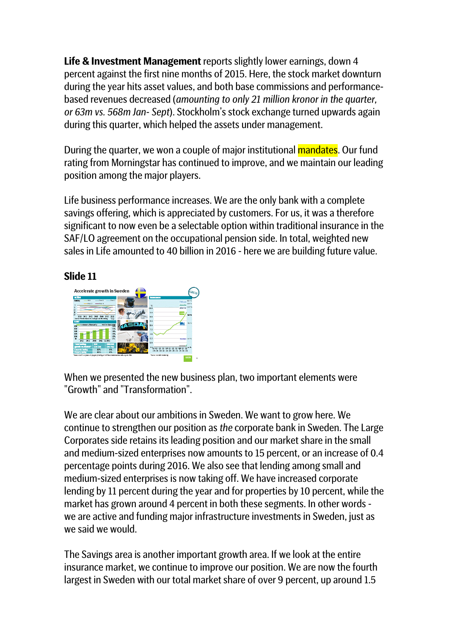**Life & Investment Management** reports slightly lower earnings, down 4 percent against the first nine months of 2015. Here, the stock market downturn during the year hits asset values, and both base commissions and performancebased revenues decreased (*amounting to only 21 million kronor in the quarter, or 63m vs. 568m Jan- Sept*). Stockholm's stock exchange turned upwards again during this quarter, which helped the assets under management.

During the quarter, we won a couple of major institutional **mandates**. Our fund rating from Morningstar has continued to improve, and we maintain our leading position among the major players.

Life business performance increases. We are the only bank with a complete savings offering, which is appreciated by customers. For us, it was a therefore significant to now even be a selectable option within traditional insurance in the SAF/LO agreement on the occupational pension side. In total, weighted new sales in Life amounted to 40 billion in 2016 - here we are building future value.

#### **Slide 11**



When we presented the new business plan, two important elements were "Growth" and "Transformation".

We are clear about our ambitions in Sweden. We want to grow here. We continue to strengthen our position as *the* corporate bank in Sweden. The Large Corporates side retains its leading position and our market share in the small and medium-sized enterprises now amounts to 15 percent, or an increase of 0.4 percentage points during 2016. We also see that lending among small and medium-sized enterprises is now taking off. We have increased corporate lending by 11 percent during the year and for properties by 10 percent, while the market has grown around 4 percent in both these segments. In other words we are active and funding major infrastructure investments in Sweden, just as we said we would.

The Savings area is another important growth area. If we look at the entire insurance market, we continue to improve our position. We are now the fourth largest in Sweden with our total market share of over 9 percent, up around 1.5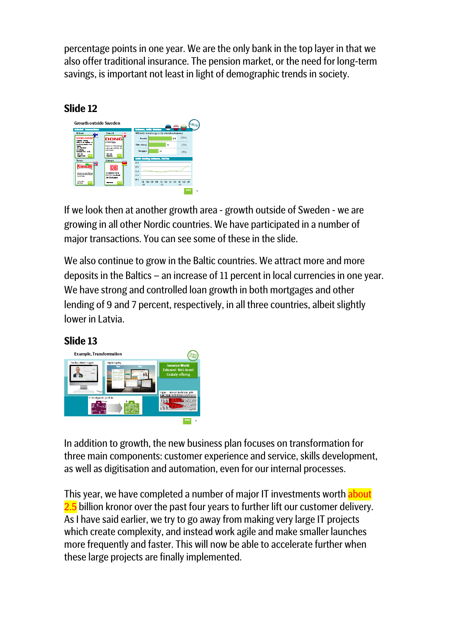percentage points in one year. We are the only bank in the top layer in that we also offer traditional insurance. The pension market, or the need for long-term savings, is important not least in light of demographic trends in society.





If we look then at another growth area - growth outside of Sweden - we are growing in all other Nordic countries. We have participated in a number of major transactions. You can see some of these in the slide.

We also continue to grow in the Baltic countries. We attract more and more deposits in the Baltics – an increase of 11 percent in local currencies in one year. We have strong and controlled loan growth in both mortgages and other lending of 9 and 7 percent, respectively, in all three countries, albeit slightly lower in Latvia.



In addition to growth, the new business plan focuses on transformation for three main components: customer experience and service, skills development, as well as digitisation and automation, even for our internal processes.

This year, we have completed a number of major IT investments worth about 2.5 billion kronor over the past four years to further lift our customer delivery. As I have said earlier, we try to go away from making very large IT projects which create complexity, and instead work agile and make smaller launches more frequently and faster. This will now be able to accelerate further when these large projects are finally implemented.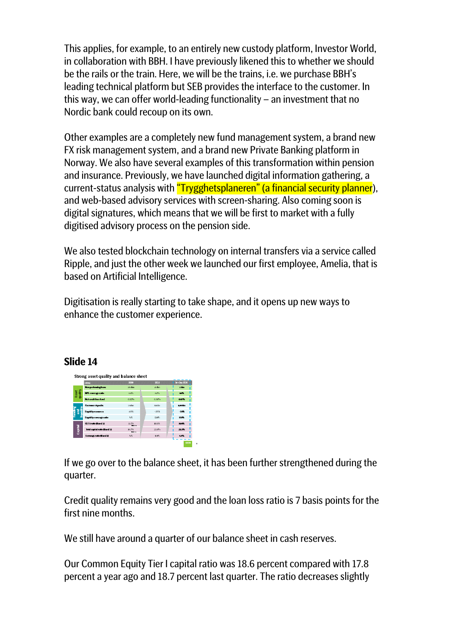This applies, for example, to an entirely new custody platform, Investor World, in collaboration with BBH. I have previously likened this to whether we should be the rails or the train. Here, we will be the trains, i.e. we purchase BBH's leading technical platform but SEB provides the interface to the customer. In this way, we can offer world-leading functionality – an investment that no Nordic bank could recoup on its own.

Other examples are a completely new fund management system, a brand new FX risk management system, and a brand new Private Banking platform in Norway. We also have several examples of this transformation within pension and insurance. Previously, we have launched digital information gathering, a current-status analysis with "Trygghetsplaneren" (a financial security planner), and web-based advisory services with screen-sharing. Also coming soon is digital signatures, which means that we will be first to market with a fully digitised advisory process on the pension side.

We also tested blockchain technology on internal transfers via a service called Ripple, and just the other week we launched our first employee, Amelia, that is based on Artificial Intelligence.

Digitisation is really starting to take shape, and it opens up new ways to enhance the customer experience.

#### **Slide 14**

| Non-performing loans<br>NPL coverage ratio<br><b>Not credit loss lead</b><br><b>Customer deposits</b> | 2002<br>28 film<br>65%<br>n optis<br>750km | 2015<br>action<br><b>GZ%</b><br>0.06%<br><b>asitri</b> | <b>I</b> Inn-Sep 2016<br><b>Zalim</b><br><b>CETA</b><br>$0.07\%$ |
|-------------------------------------------------------------------------------------------------------|--------------------------------------------|--------------------------------------------------------|------------------------------------------------------------------|
|                                                                                                       |                                            |                                                        |                                                                  |
|                                                                                                       |                                            |                                                        |                                                                  |
|                                                                                                       |                                            |                                                        |                                                                  |
|                                                                                                       |                                            |                                                        |                                                                  |
|                                                                                                       |                                            |                                                        | 1,035m                                                           |
| Liquid ty resources                                                                                   | MCE                                        | $-25\%$                                                | $-25%$                                                           |
| Liquid ty coverage ratio                                                                              | NA                                         | 120%                                                   | <b>POL</b>                                                       |
| CET1 ratio Basel 31                                                                                   | 11.7%<br><b>Bed 22</b>                     | 1.8.8%                                                 | 18.0%                                                            |
| Istal capital ratio (Basel 3)                                                                         | 14.7%<br><b>Best 22</b>                    | $23.8\%$                                               | 23.3%                                                            |
| Leverage ratio (Basel 3)                                                                              | <b>NA</b>                                  | $4.9\%$                                                | 4.4%                                                             |
|                                                                                                       |                                            |                                                        |                                                                  |

If we go over to the balance sheet, it has been further strengthened during the quarter.

Credit quality remains very good and the loan loss ratio is 7 basis points for the first nine months

We still have around a quarter of our balance sheet in cash reserves.

Our Common Equity Tier I capital ratio was 18.6 percent compared with 17.8 percent a year ago and 18.7 percent last quarter. The ratio decreases slightly